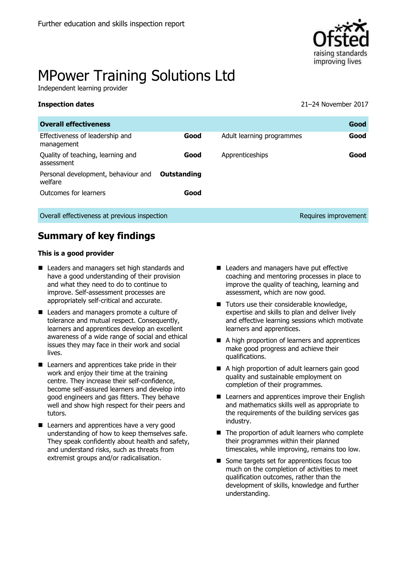

# MPower Training Solutions Ltd

Independent learning provider

| <b>Inspection dates</b> |  |
|-------------------------|--|
|-------------------------|--|

**Inspection dates** 21–24 November 2017

| <b>Overall effectiveness</b>                    |             |                           | Good                 |
|-------------------------------------------------|-------------|---------------------------|----------------------|
| Effectiveness of leadership and<br>management   | Good        | Adult learning programmes | Good                 |
| Quality of teaching, learning and<br>assessment | Good        | Apprenticeships           | Good                 |
| Personal development, behaviour and<br>welfare  | Outstanding |                           |                      |
| Outcomes for learners                           | Good        |                           |                      |
| Overall effectiveness at previous inspection    |             |                           | Requires improvement |

# **Summary of key findings**

### **This is a good provider**

- Leaders and managers set high standards and have a good understanding of their provision and what they need to do to continue to improve. Self-assessment processes are appropriately self-critical and accurate.
- Leaders and managers promote a culture of tolerance and mutual respect. Consequently, learners and apprentices develop an excellent awareness of a wide range of social and ethical issues they may face in their work and social lives.
- Learners and apprentices take pride in their work and enjoy their time at the training centre. They increase their self-confidence, become self-assured learners and develop into good engineers and gas fitters. They behave well and show high respect for their peers and tutors.
- Learners and apprentices have a very good understanding of how to keep themselves safe. They speak confidently about health and safety, and understand risks, such as threats from extremist groups and/or radicalisation.
- Leaders and managers have put effective coaching and mentoring processes in place to improve the quality of teaching, learning and assessment, which are now good.
- Tutors use their considerable knowledge, expertise and skills to plan and deliver lively and effective learning sessions which motivate learners and apprentices.
- A high proportion of learners and apprentices make good progress and achieve their qualifications.
- A high proportion of adult learners gain good quality and sustainable employment on completion of their programmes.
- Learners and apprentices improve their English and mathematics skills well as appropriate to the requirements of the building services gas industry.
- The proportion of adult learners who complete their programmes within their planned timescales, while improving, remains too low.
- Some targets set for apprentices focus too much on the completion of activities to meet qualification outcomes, rather than the development of skills, knowledge and further understanding.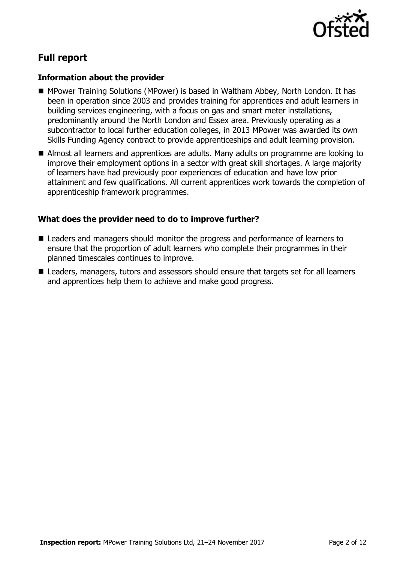

# **Full report**

### **Information about the provider**

- MPower Training Solutions (MPower) is based in Waltham Abbey, North London. It has been in operation since 2003 and provides training for apprentices and adult learners in building services engineering, with a focus on gas and smart meter installations, predominantly around the North London and Essex area. Previously operating as a subcontractor to local further education colleges, in 2013 MPower was awarded its own Skills Funding Agency contract to provide apprenticeships and adult learning provision.
- Almost all learners and apprentices are adults. Many adults on programme are looking to improve their employment options in a sector with great skill shortages. A large majority of learners have had previously poor experiences of education and have low prior attainment and few qualifications. All current apprentices work towards the completion of apprenticeship framework programmes.

### **What does the provider need to do to improve further?**

- Leaders and managers should monitor the progress and performance of learners to ensure that the proportion of adult learners who complete their programmes in their planned timescales continues to improve.
- Leaders, managers, tutors and assessors should ensure that targets set for all learners and apprentices help them to achieve and make good progress.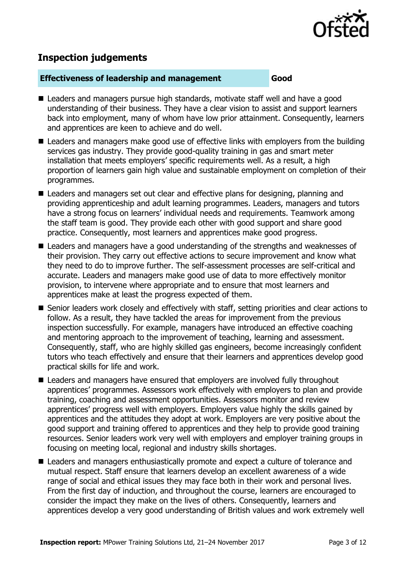

# **Inspection judgements**

### **Effectiveness of leadership and management Good**

- Leaders and managers pursue high standards, motivate staff well and have a good understanding of their business. They have a clear vision to assist and support learners back into employment, many of whom have low prior attainment. Consequently, learners and apprentices are keen to achieve and do well.
- Leaders and managers make good use of effective links with employers from the building services gas industry. They provide good-quality training in gas and smart meter installation that meets employers' specific requirements well. As a result, a high proportion of learners gain high value and sustainable employment on completion of their programmes.
- Leaders and managers set out clear and effective plans for designing, planning and providing apprenticeship and adult learning programmes. Leaders, managers and tutors have a strong focus on learners' individual needs and requirements. Teamwork among the staff team is good. They provide each other with good support and share good practice. Consequently, most learners and apprentices make good progress.
- Leaders and managers have a good understanding of the strengths and weaknesses of their provision. They carry out effective actions to secure improvement and know what they need to do to improve further. The self-assessment processes are self-critical and accurate. Leaders and managers make good use of data to more effectively monitor provision, to intervene where appropriate and to ensure that most learners and apprentices make at least the progress expected of them.
- Senior leaders work closely and effectively with staff, setting priorities and clear actions to follow. As a result, they have tackled the areas for improvement from the previous inspection successfully. For example, managers have introduced an effective coaching and mentoring approach to the improvement of teaching, learning and assessment. Consequently, staff, who are highly skilled gas engineers, become increasingly confident tutors who teach effectively and ensure that their learners and apprentices develop good practical skills for life and work.
- Leaders and managers have ensured that employers are involved fully throughout apprentices' programmes. Assessors work effectively with employers to plan and provide training, coaching and assessment opportunities. Assessors monitor and review apprentices' progress well with employers. Employers value highly the skills gained by apprentices and the attitudes they adopt at work. Employers are very positive about the good support and training offered to apprentices and they help to provide good training resources. Senior leaders work very well with employers and employer training groups in focusing on meeting local, regional and industry skills shortages.
- Leaders and managers enthusiastically promote and expect a culture of tolerance and mutual respect. Staff ensure that learners develop an excellent awareness of a wide range of social and ethical issues they may face both in their work and personal lives. From the first day of induction, and throughout the course, learners are encouraged to consider the impact they make on the lives of others. Consequently, learners and apprentices develop a very good understanding of British values and work extremely well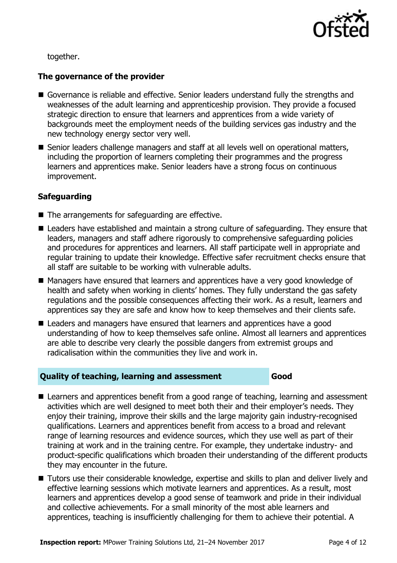

together.

### **The governance of the provider**

- Governance is reliable and effective. Senior leaders understand fully the strengths and weaknesses of the adult learning and apprenticeship provision. They provide a focused strategic direction to ensure that learners and apprentices from a wide variety of backgrounds meet the employment needs of the building services gas industry and the new technology energy sector very well.
- Senior leaders challenge managers and staff at all levels well on operational matters, including the proportion of learners completing their programmes and the progress learners and apprentices make. Senior leaders have a strong focus on continuous improvement.

### **Safeguarding**

- The arrangements for safeguarding are effective.
- Leaders have established and maintain a strong culture of safeguarding. They ensure that leaders, managers and staff adhere rigorously to comprehensive safeguarding policies and procedures for apprentices and learners. All staff participate well in appropriate and regular training to update their knowledge. Effective safer recruitment checks ensure that all staff are suitable to be working with vulnerable adults.
- Managers have ensured that learners and apprentices have a very good knowledge of health and safety when working in clients' homes. They fully understand the gas safety regulations and the possible consequences affecting their work. As a result, learners and apprentices say they are safe and know how to keep themselves and their clients safe.
- Leaders and managers have ensured that learners and apprentices have a good understanding of how to keep themselves safe online. Almost all learners and apprentices are able to describe very clearly the possible dangers from extremist groups and radicalisation within the communities they live and work in.

### **Quality of teaching, learning and assessment Good**

- Learners and apprentices benefit from a good range of teaching, learning and assessment activities which are well designed to meet both their and their employer's needs. They enjoy their training, improve their skills and the large majority gain industry-recognised qualifications. Learners and apprentices benefit from access to a broad and relevant range of learning resources and evidence sources, which they use well as part of their training at work and in the training centre. For example, they undertake industry- and product-specific qualifications which broaden their understanding of the different products they may encounter in the future.
- Tutors use their considerable knowledge, expertise and skills to plan and deliver lively and effective learning sessions which motivate learners and apprentices. As a result, most learners and apprentices develop a good sense of teamwork and pride in their individual and collective achievements. For a small minority of the most able learners and apprentices, teaching is insufficiently challenging for them to achieve their potential. A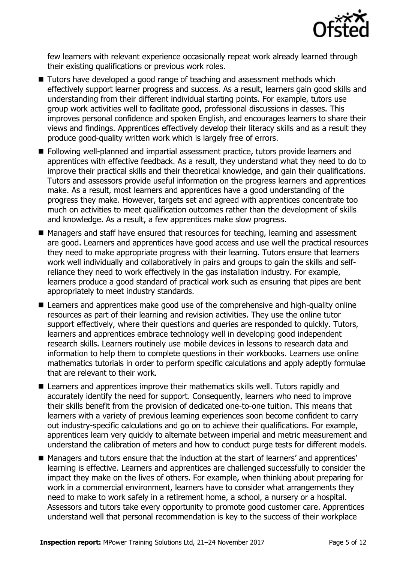

few learners with relevant experience occasionally repeat work already learned through their existing qualifications or previous work roles.

- Tutors have developed a good range of teaching and assessment methods which effectively support learner progress and success. As a result, learners gain good skills and understanding from their different individual starting points. For example, tutors use group work activities well to facilitate good, professional discussions in classes. This improves personal confidence and spoken English, and encourages learners to share their views and findings. Apprentices effectively develop their literacy skills and as a result they produce good-quality written work which is largely free of errors.
- Following well-planned and impartial assessment practice, tutors provide learners and apprentices with effective feedback. As a result, they understand what they need to do to improve their practical skills and their theoretical knowledge, and gain their qualifications. Tutors and assessors provide useful information on the progress learners and apprentices make. As a result, most learners and apprentices have a good understanding of the progress they make. However, targets set and agreed with apprentices concentrate too much on activities to meet qualification outcomes rather than the development of skills and knowledge. As a result, a few apprentices make slow progress.
- Managers and staff have ensured that resources for teaching, learning and assessment are good. Learners and apprentices have good access and use well the practical resources they need to make appropriate progress with their learning. Tutors ensure that learners work well individually and collaboratively in pairs and groups to gain the skills and selfreliance they need to work effectively in the gas installation industry. For example, learners produce a good standard of practical work such as ensuring that pipes are bent appropriately to meet industry standards.
- Learners and apprentices make good use of the comprehensive and high-quality online resources as part of their learning and revision activities. They use the online tutor support effectively, where their questions and queries are responded to quickly. Tutors, learners and apprentices embrace technology well in developing good independent research skills. Learners routinely use mobile devices in lessons to research data and information to help them to complete questions in their workbooks. Learners use online mathematics tutorials in order to perform specific calculations and apply adeptly formulae that are relevant to their work.
- Learners and apprentices improve their mathematics skills well. Tutors rapidly and accurately identify the need for support. Consequently, learners who need to improve their skills benefit from the provision of dedicated one-to-one tuition. This means that learners with a variety of previous learning experiences soon become confident to carry out industry-specific calculations and go on to achieve their qualifications. For example, apprentices learn very quickly to alternate between imperial and metric measurement and understand the calibration of meters and how to conduct purge tests for different models.
- Managers and tutors ensure that the induction at the start of learners' and apprentices' learning is effective. Learners and apprentices are challenged successfully to consider the impact they make on the lives of others. For example, when thinking about preparing for work in a commercial environment, learners have to consider what arrangements they need to make to work safely in a retirement home, a school, a nursery or a hospital. Assessors and tutors take every opportunity to promote good customer care. Apprentices understand well that personal recommendation is key to the success of their workplace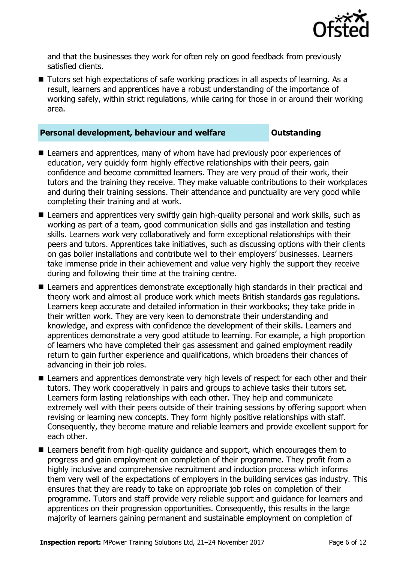

and that the businesses they work for often rely on good feedback from previously satisfied clients.

■ Tutors set high expectations of safe working practices in all aspects of learning. As a result, learners and apprentices have a robust understanding of the importance of working safely, within strict regulations, while caring for those in or around their working area.

### **Personal development, behaviour and welfare <b>COUNG COUNGER** Dutstanding

- Learners and apprentices, many of whom have had previously poor experiences of education, very quickly form highly effective relationships with their peers, gain confidence and become committed learners. They are very proud of their work, their tutors and the training they receive. They make valuable contributions to their workplaces and during their training sessions. Their attendance and punctuality are very good while completing their training and at work.
- Learners and apprentices very swiftly gain high-quality personal and work skills, such as working as part of a team, good communication skills and gas installation and testing skills. Learners work very collaboratively and form exceptional relationships with their peers and tutors. Apprentices take initiatives, such as discussing options with their clients on gas boiler installations and contribute well to their employers' businesses. Learners take immense pride in their achievement and value very highly the support they receive during and following their time at the training centre.
- Learners and apprentices demonstrate exceptionally high standards in their practical and theory work and almost all produce work which meets British standards gas regulations. Learners keep accurate and detailed information in their workbooks; they take pride in their written work. They are very keen to demonstrate their understanding and knowledge, and express with confidence the development of their skills. Learners and apprentices demonstrate a very good attitude to learning. For example, a high proportion of learners who have completed their gas assessment and gained employment readily return to gain further experience and qualifications, which broadens their chances of advancing in their job roles.
- Learners and apprentices demonstrate very high levels of respect for each other and their tutors. They work cooperatively in pairs and groups to achieve tasks their tutors set. Learners form lasting relationships with each other. They help and communicate extremely well with their peers outside of their training sessions by offering support when revising or learning new concepts. They form highly positive relationships with staff. Consequently, they become mature and reliable learners and provide excellent support for each other.
- Learners benefit from high-quality guidance and support, which encourages them to progress and gain employment on completion of their programme. They profit from a highly inclusive and comprehensive recruitment and induction process which informs them very well of the expectations of employers in the building services gas industry. This ensures that they are ready to take on appropriate job roles on completion of their programme. Tutors and staff provide very reliable support and guidance for learners and apprentices on their progression opportunities. Consequently, this results in the large majority of learners gaining permanent and sustainable employment on completion of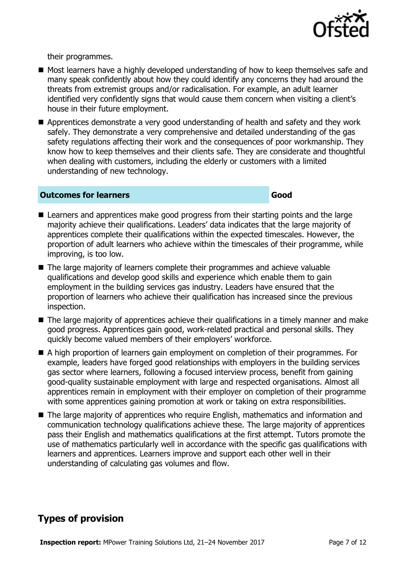

their programmes.

- Most learners have a highly developed understanding of how to keep themselves safe and many speak confidently about how they could identify any concerns they had around the threats from extremist groups and/or radicalisation. For example, an adult learner identified very confidently signs that would cause them concern when visiting a client's house in their future employment.
- Apprentices demonstrate a very good understanding of health and safety and they work safely. They demonstrate a very comprehensive and detailed understanding of the gas safety regulations affecting their work and the consequences of poor workmanship. They know how to keep themselves and their clients safe. They are considerate and thoughtful when dealing with customers, including the elderly or customers with a limited understanding of new technology.

### **Outcomes for learners Good**

- Learners and apprentices make good progress from their starting points and the large majority achieve their qualifications. Leaders' data indicates that the large majority of apprentices complete their qualifications within the expected timescales. However, the proportion of adult learners who achieve within the timescales of their programme, while improving, is too low.
- The large majority of learners complete their programmes and achieve valuable qualifications and develop good skills and experience which enable them to gain employment in the building services gas industry. Leaders have ensured that the proportion of learners who achieve their qualification has increased since the previous inspection.
- The large majority of apprentices achieve their qualifications in a timely manner and make good progress. Apprentices gain good, work-related practical and personal skills. They quickly become valued members of their employers' workforce.
- A high proportion of learners gain employment on completion of their programmes. For example, leaders have forged good relationships with employers in the building services gas sector where learners, following a focused interview process, benefit from gaining good-quality sustainable employment with large and respected organisations. Almost all apprentices remain in employment with their employer on completion of their programme with some apprentices gaining promotion at work or taking on extra responsibilities.
- The large majority of apprentices who require English, mathematics and information and communication technology qualifications achieve these. The large majority of apprentices pass their English and mathematics qualifications at the first attempt. Tutors promote the use of mathematics particularly well in accordance with the specific gas qualifications with learners and apprentices. Learners improve and support each other well in their understanding of calculating gas volumes and flow.

# **Types of provision**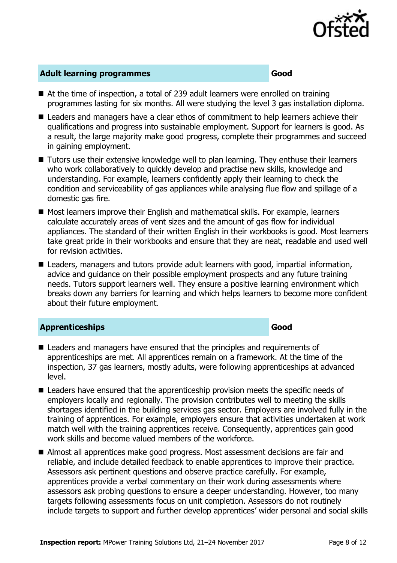

### **Adult learning programmes Good**

- At the time of inspection, a total of 239 adult learners were enrolled on training programmes lasting for six months. All were studying the level 3 gas installation diploma.
- Leaders and managers have a clear ethos of commitment to help learners achieve their qualifications and progress into sustainable employment. Support for learners is good. As a result, the large majority make good progress, complete their programmes and succeed in gaining employment.
- Tutors use their extensive knowledge well to plan learning. They enthuse their learners who work collaboratively to quickly develop and practise new skills, knowledge and understanding. For example, learners confidently apply their learning to check the condition and serviceability of gas appliances while analysing flue flow and spillage of a domestic gas fire.
- Most learners improve their English and mathematical skills. For example, learners calculate accurately areas of vent sizes and the amount of gas flow for individual appliances. The standard of their written English in their workbooks is good. Most learners take great pride in their workbooks and ensure that they are neat, readable and used well for revision activities.
- $\blacksquare$  Leaders, managers and tutors provide adult learners with good, impartial information, advice and guidance on their possible employment prospects and any future training needs. Tutors support learners well. They ensure a positive learning environment which breaks down any barriers for learning and which helps learners to become more confident about their future employment.

### **Apprenticeships Good**

- Leaders and managers have ensured that the principles and requirements of apprenticeships are met. All apprentices remain on a framework. At the time of the inspection, 37 gas learners, mostly adults, were following apprenticeships at advanced level.
- Leaders have ensured that the apprenticeship provision meets the specific needs of employers locally and regionally. The provision contributes well to meeting the skills shortages identified in the building services gas sector. Employers are involved fully in the training of apprentices. For example, employers ensure that activities undertaken at work match well with the training apprentices receive. Consequently, apprentices gain good work skills and become valued members of the workforce.
- Almost all apprentices make good progress. Most assessment decisions are fair and reliable, and include detailed feedback to enable apprentices to improve their practice. Assessors ask pertinent questions and observe practice carefully. For example, apprentices provide a verbal commentary on their work during assessments where assessors ask probing questions to ensure a deeper understanding. However, too many targets following assessments focus on unit completion. Assessors do not routinely include targets to support and further develop apprentices' wider personal and social skills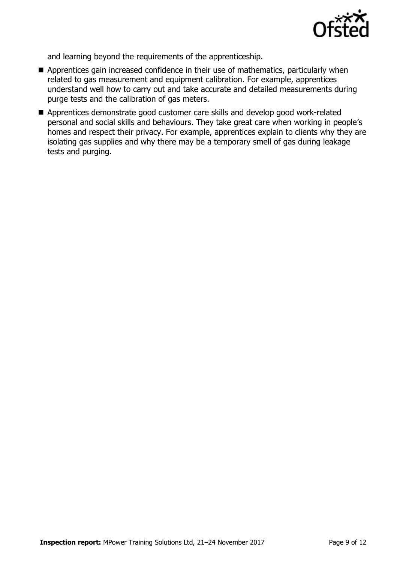

and learning beyond the requirements of the apprenticeship.

- Apprentices gain increased confidence in their use of mathematics, particularly when related to gas measurement and equipment calibration. For example, apprentices understand well how to carry out and take accurate and detailed measurements during purge tests and the calibration of gas meters.
- Apprentices demonstrate good customer care skills and develop good work-related personal and social skills and behaviours. They take great care when working in people's homes and respect their privacy. For example, apprentices explain to clients why they are isolating gas supplies and why there may be a temporary smell of gas during leakage tests and purging.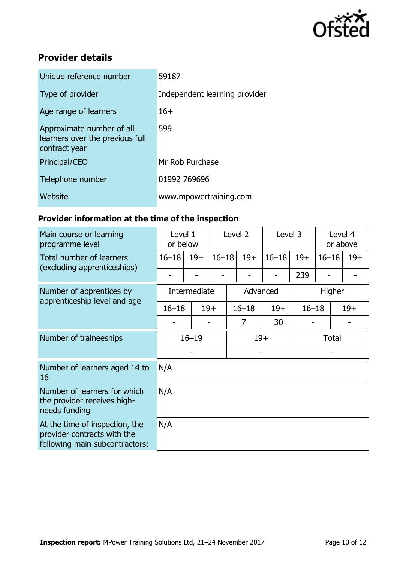

# **Provider details**

| Unique reference number                                                       | 59187                         |
|-------------------------------------------------------------------------------|-------------------------------|
| Type of provider                                                              | Independent learning provider |
| Age range of learners                                                         | $16+$                         |
| Approximate number of all<br>learners over the previous full<br>contract year | 599                           |
| Principal/CEO                                                                 | Mr Rob Purchase               |
| Telephone number                                                              | 01992 769696                  |
| Website                                                                       | www.mpowertraining.com        |

# **Provider information at the time of the inspection**

| Main course or learning<br>programme level                                                      | Level 1<br>or below |       | Level <sub>2</sub> |           | Level 3 |           |              | Level 4<br>or above |       |  |
|-------------------------------------------------------------------------------------------------|---------------------|-------|--------------------|-----------|---------|-----------|--------------|---------------------|-------|--|
| Total number of learners<br>(excluding apprenticeships)                                         | $16 - 18$           | $19+$ | $16 - 18$          |           | $19+$   | $16 - 18$ | $19+$        | $16 - 18$           | $19+$ |  |
|                                                                                                 |                     |       |                    |           |         |           | 239          |                     |       |  |
| Number of apprentices by                                                                        | Intermediate        |       |                    | Advanced  |         |           | Higher       |                     |       |  |
| apprenticeship level and age                                                                    | $16 - 18$           |       | $19+$              | $16 - 18$ |         | $19+$     | $16 - 18$    |                     | $19+$ |  |
|                                                                                                 |                     |       |                    | 7         |         | 30        |              |                     |       |  |
| Number of traineeships                                                                          | $16 - 19$           |       |                    | $19+$     |         |           | <b>Total</b> |                     |       |  |
|                                                                                                 |                     |       |                    |           |         |           |              |                     |       |  |
| Number of learners aged 14 to<br>16                                                             | N/A                 |       |                    |           |         |           |              |                     |       |  |
| Number of learners for which<br>the provider receives high-<br>needs funding                    | N/A                 |       |                    |           |         |           |              |                     |       |  |
| At the time of inspection, the<br>provider contracts with the<br>following main subcontractors: | N/A                 |       |                    |           |         |           |              |                     |       |  |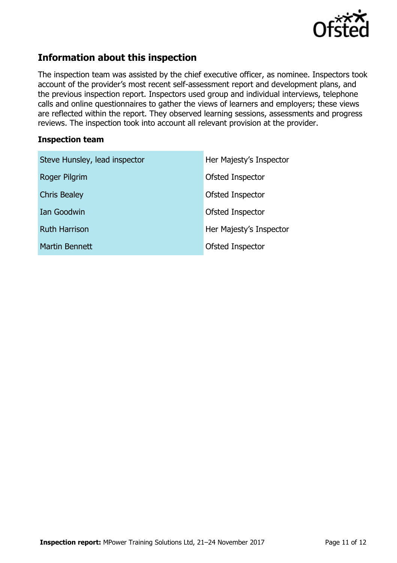

# **Information about this inspection**

The inspection team was assisted by the chief executive officer, as nominee. Inspectors took account of the provider's most recent self-assessment report and development plans, and the previous inspection report. Inspectors used group and individual interviews, telephone calls and online questionnaires to gather the views of learners and employers; these views are reflected within the report. They observed learning sessions, assessments and progress reviews. The inspection took into account all relevant provision at the provider.

### **Inspection team**

| Steve Hunsley, lead inspector | Her Majesty's Inspector |
|-------------------------------|-------------------------|
| Roger Pilgrim                 | Ofsted Inspector        |
| <b>Chris Bealey</b>           | Ofsted Inspector        |
| Ian Goodwin                   | Ofsted Inspector        |
| <b>Ruth Harrison</b>          | Her Majesty's Inspector |
| Martin Bennett                | Ofsted Inspector        |